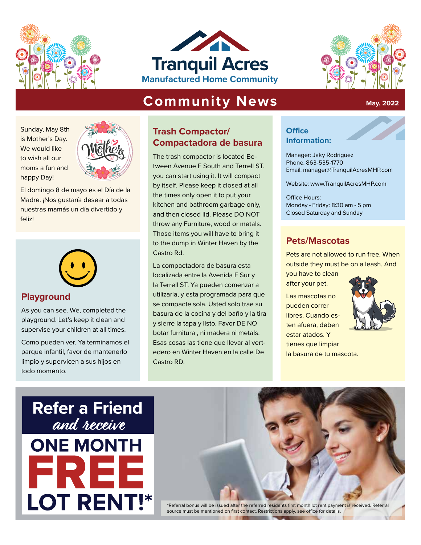





**May, 2022**

# **Community News**

Sunday, May 8th is Mother's Day. We would like to wish all our moms a fun and happy Day!



El domingo 8 de mayo es el Día de la Madre. ¡Nos gustaría desear a todas nuestras mamás un día divertido y feliz!



### **Playground**

As you can see. We, completed the playground. Let's keep it clean and supervise your children at all times.

Como pueden ver. Ya terminamos el parque infantil, favor de mantenerlo limpio y supervicen a sus hijos en todo momento.

# **Trash Compactor/ Compactadora de basura**

The trash compactor is located Between Avenue F South and Terrell ST. you can start using it. It will compact by itself. Please keep it closed at all the times only open it to put your kitchen and bathroom garbage only, and then closed lid. Please DO NOT throw any Furniture, wood or metals. Those items you will have to bring it to the dump in Winter Haven by the Castro Rd.

La compactadora de basura esta localizada entre la Avenida F Sur y la Terrell ST. Ya pueden comenzar a utilizarla, y esta programada para que se compacte sola. Usted solo trae su basura de la cocina y del baño y la tira y sierre la tapa y listo. Favor DE NO botar furnitura , ni madera ni metals. Esas cosas las tiene que llevar al vertedero en Winter Haven en la calle De Castro RD.

#### **Office Information:**

Manager: Jaky Rodriguez<br>Phone: 863-535-1770 Phone: 863-535-1770 Email: manager@TranquilAcresMHP.com<br>————————————————————

Website: www.TranquilAcresMHP.com

Office Hours: Monday - Friday: 8:30 am - 5 pm Closed Saturday and Sunday

# **Pets/Mascotas**

Pets are not allowed to run free. When outside they must be on a leash. And

you have to clean after your pet.

Las mascotas no pueden correr libres. Cuando esten afuera, deben estar atados. Y tienes que limpiar la basura de tu mascota.



# **Refer a Friend** and receive **ONE MONTH** ЕE **LOT RENT!\***



\*Referral bonus will be issued after the referred residents first month lot rent payment is received. Referral source must be mentioned on first contact. Restrictions apply, see office for details.